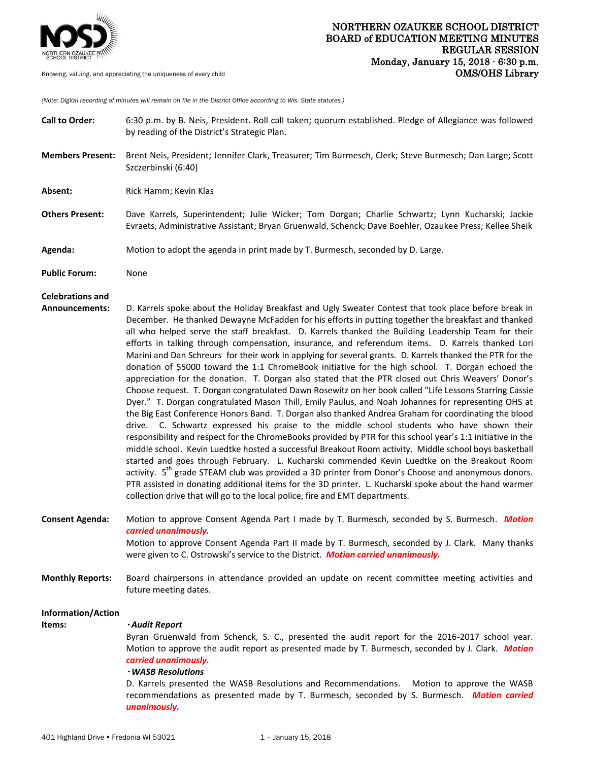

*(Note: Digital recording of minutes will remain on file in the District Office according to Wis. State statutes.)*

| <b>Call to Order:</b>                     | 6:30 p.m. by B. Neis, President. Roll call taken; quorum established. Pledge of Allegiance was followed<br>by reading of the District's Strategic Plan.                                                                                                                                                                                                                                                                                                                                                                                                                                                                                                                                                                                                                                                                                                                                                                                                                                                                                                                                                                                                                                                                                                                                                                                                                                                                                                                                                                                                                                                                                                                                                                                                                                                       |
|-------------------------------------------|---------------------------------------------------------------------------------------------------------------------------------------------------------------------------------------------------------------------------------------------------------------------------------------------------------------------------------------------------------------------------------------------------------------------------------------------------------------------------------------------------------------------------------------------------------------------------------------------------------------------------------------------------------------------------------------------------------------------------------------------------------------------------------------------------------------------------------------------------------------------------------------------------------------------------------------------------------------------------------------------------------------------------------------------------------------------------------------------------------------------------------------------------------------------------------------------------------------------------------------------------------------------------------------------------------------------------------------------------------------------------------------------------------------------------------------------------------------------------------------------------------------------------------------------------------------------------------------------------------------------------------------------------------------------------------------------------------------------------------------------------------------------------------------------------------------|
| <b>Members Present:</b>                   | Brent Neis, President; Jennifer Clark, Treasurer; Tim Burmesch, Clerk; Steve Burmesch; Dan Large; Scott<br>Szczerbinski (6:40)                                                                                                                                                                                                                                                                                                                                                                                                                                                                                                                                                                                                                                                                                                                                                                                                                                                                                                                                                                                                                                                                                                                                                                                                                                                                                                                                                                                                                                                                                                                                                                                                                                                                                |
| Absent:                                   | Rick Hamm; Kevin Klas                                                                                                                                                                                                                                                                                                                                                                                                                                                                                                                                                                                                                                                                                                                                                                                                                                                                                                                                                                                                                                                                                                                                                                                                                                                                                                                                                                                                                                                                                                                                                                                                                                                                                                                                                                                         |
| <b>Others Present:</b>                    | Dave Karrels, Superintendent; Julie Wicker; Tom Dorgan; Charlie Schwartz; Lynn Kucharski; Jackie<br>Evraets, Administrative Assistant; Bryan Gruenwald, Schenck; Dave Boehler, Ozaukee Press; Kellee Sheik                                                                                                                                                                                                                                                                                                                                                                                                                                                                                                                                                                                                                                                                                                                                                                                                                                                                                                                                                                                                                                                                                                                                                                                                                                                                                                                                                                                                                                                                                                                                                                                                    |
| Agenda:                                   | Motion to adopt the agenda in print made by T. Burmesch, seconded by D. Large.                                                                                                                                                                                                                                                                                                                                                                                                                                                                                                                                                                                                                                                                                                                                                                                                                                                                                                                                                                                                                                                                                                                                                                                                                                                                                                                                                                                                                                                                                                                                                                                                                                                                                                                                |
| <b>Public Forum:</b>                      | None                                                                                                                                                                                                                                                                                                                                                                                                                                                                                                                                                                                                                                                                                                                                                                                                                                                                                                                                                                                                                                                                                                                                                                                                                                                                                                                                                                                                                                                                                                                                                                                                                                                                                                                                                                                                          |
| <b>Celebrations and</b><br>Announcements: | D. Karrels spoke about the Holiday Breakfast and Ugly Sweater Contest that took place before break in<br>December. He thanked Dewayne McFadden for his efforts in putting together the breakfast and thanked<br>all who helped serve the staff breakfast. D. Karrels thanked the Building Leadership Team for their<br>efforts in talking through compensation, insurance, and referendum items. D. Karrels thanked Lori<br>Marini and Dan Schreurs for their work in applying for several grants. D. Karrels thanked the PTR for the<br>donation of \$5000 toward the 1:1 ChromeBook initiative for the high school. T. Dorgan echoed the<br>appreciation for the donation. T. Dorgan also stated that the PTR closed out Chris Weavers' Donor's<br>Choose request. T. Dorgan congratulated Dawn Rosewitz on her book called "Life Lessons Starring Cassie<br>Dyer." T. Dorgan congratulated Mason Thill, Emily Paulus, and Noah Johannes for representing OHS at<br>the Big East Conference Honors Band. T. Dorgan also thanked Andrea Graham for coordinating the blood<br>drive. C. Schwartz expressed his praise to the middle school students who have shown their<br>responsibility and respect for the ChromeBooks provided by PTR for this school year's 1:1 initiative in the<br>middle school. Kevin Luedtke hosted a successful Breakout Room activity. Middle school boys basketball<br>started and goes through February. L. Kucharski commended Kevin Luedtke on the Breakout Room<br>activity. 5 <sup>th</sup> grade STEAM club was provided a 3D printer from Donor's Choose and anonymous donors.<br>PTR assisted in donating additional items for the 3D printer. L. Kucharski spoke about the hand warmer<br>collection drive that will go to the local police, fire and EMT departments. |
| <b>Consent Agenda:</b>                    | Motion to approve Consent Agenda Part I made by T. Burmesch, seconded by S. Burmesch. Motion<br>carried unanimously.<br>Motion to approve Consent Agenda Part II made by T. Burmesch, seconded by J. Clark. Many thanks<br>were given to C. Ostrowski's service to the District. Motion carried unanimously.                                                                                                                                                                                                                                                                                                                                                                                                                                                                                                                                                                                                                                                                                                                                                                                                                                                                                                                                                                                                                                                                                                                                                                                                                                                                                                                                                                                                                                                                                                  |
| <b>Monthly Reports:</b>                   | Board chairpersons in attendance provided an update on recent committee meeting activities and<br>future meeting dates.                                                                                                                                                                                                                                                                                                                                                                                                                                                                                                                                                                                                                                                                                                                                                                                                                                                                                                                                                                                                                                                                                                                                                                                                                                                                                                                                                                                                                                                                                                                                                                                                                                                                                       |
| Information/Action<br>Items:              | · Audit Report<br>Byran Gruenwald from Schenck, S. C., presented the audit report for the 2016-2017 school year.<br>Motion to approve the audit report as presented made by T. Burmesch, seconded by J. Clark. Motion<br>carried unanimously.<br>· WASB Resolutions<br>D. Karrels presented the WASB Resolutions and Recommendations.<br>Motion to approve the WASB<br>recommendations as presented made by T. Burmesch, seconded by S. Burmesch. Motion carried<br>unanimously.                                                                                                                                                                                                                                                                                                                                                                                                                                                                                                                                                                                                                                                                                                                                                                                                                                                                                                                                                                                                                                                                                                                                                                                                                                                                                                                              |